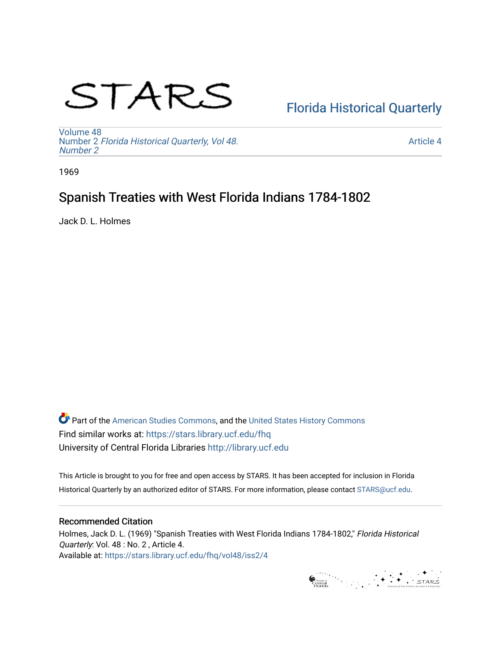# STARS

# [Florida Historical Quarterly](https://stars.library.ucf.edu/fhq)

[Volume 48](https://stars.library.ucf.edu/fhq/vol48) Number 2 [Florida Historical Quarterly, Vol 48.](https://stars.library.ucf.edu/fhq/vol48/iss2) [Number 2](https://stars.library.ucf.edu/fhq/vol48/iss2)

[Article 4](https://stars.library.ucf.edu/fhq/vol48/iss2/4) 

1969

# Spanish Treaties with West Florida Indians 1784-1802

Jack D. L. Holmes

**C** Part of the [American Studies Commons](http://network.bepress.com/hgg/discipline/439?utm_source=stars.library.ucf.edu%2Ffhq%2Fvol48%2Fiss2%2F4&utm_medium=PDF&utm_campaign=PDFCoverPages), and the United States History Commons Find similar works at: <https://stars.library.ucf.edu/fhq> University of Central Florida Libraries [http://library.ucf.edu](http://library.ucf.edu/) 

This Article is brought to you for free and open access by STARS. It has been accepted for inclusion in Florida Historical Quarterly by an authorized editor of STARS. For more information, please contact [STARS@ucf.edu.](mailto:STARS@ucf.edu)

# Recommended Citation

Holmes, Jack D. L. (1969) "Spanish Treaties with West Florida Indians 1784-1802," Florida Historical Quarterly: Vol. 48 : No. 2 , Article 4. Available at: [https://stars.library.ucf.edu/fhq/vol48/iss2/4](https://stars.library.ucf.edu/fhq/vol48/iss2/4?utm_source=stars.library.ucf.edu%2Ffhq%2Fvol48%2Fiss2%2F4&utm_medium=PDF&utm_campaign=PDFCoverPages) 

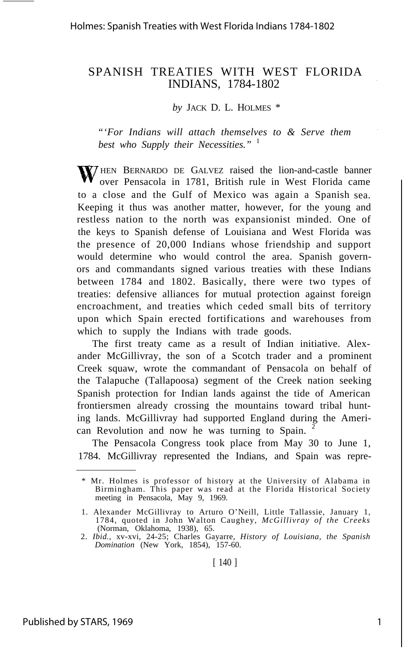# SPANISH TREATIES WITH WEST FLORIDA INDIANS, 1784-1802

*by* JACK D. L. HOLMES \*

*"'For Indians will attach themselves to & Serve them best who Supply their Necessities."* <sup>1</sup>

**W**/HEN BERNARDO DE GALVEZ raised the lion-and-castle banner over Pensacola in 1781, British rule in West Florida came to a close and the Gulf of Mexico was again a Spanish sea. Keeping it thus was another matter, however, for the young and restless nation to the north was expansionist minded. One of the keys to Spanish defense of Louisiana and West Florida was the presence of 20,000 Indians whose friendship and support would determine who would control the area. Spanish governors and commandants signed various treaties with these Indians between 1784 and 1802. Basically, there were two types of treaties: defensive alliances for mutual protection against foreign encroachment, and treaties which ceded small bits of territory upon which Spain erected fortifications and warehouses from which to supply the Indians with trade goods.

The first treaty came as a result of Indian initiative. Alexander McGillivray, the son of a Scotch trader and a prominent Creek squaw, wrote the commandant of Pensacola on behalf of the Talapuche (Tallapoosa) segment of the Creek nation seeking Spanish protection for Indian lands against the tide of American frontiersmen already crossing the mountains toward tribal hunting lands. McGillivray had supported England during the American Revolution and now he was turning to Spain.

The Pensacola Congress took place from May 30 to June 1, 1784. McGillivray represented the Indians, and Spain was repre-

<sup>\*</sup> Mr. Holmes is professor of history at the University of Alabama in Birmingham. This paper was read at the Florida Historical Society meeting in Pensacola, May 9, 1969.

<sup>1.</sup> Alexander McGillivray to Arturo O'Neill, Little Tallassie, January 1, 1784, quoted in John Walton Caughey, *McGillivray of the Creeks*

<sup>(</sup>Norman, Oklahoma, 1938), 65. 2. *Ibid.,* xv-xvi, 24-25; Charles Gayarre, *History of Louisiana, the Spanish Domination* (New York, 1854), 157-60.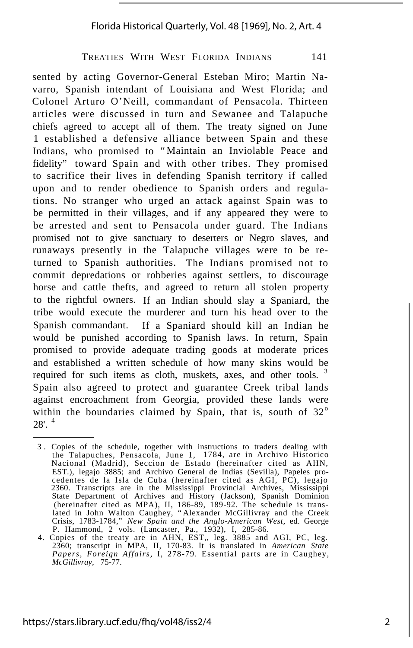sented by acting Governor-General Esteban Miro; Martin Navarro, Spanish intendant of Louisiana and West Florida; and Colonel Arturo O'Neill, commandant of Pensacola. Thirteen articles were discussed in turn and Sewanee and Talapuche chiefs agreed to accept all of them. The treaty signed on June 1 established a defensive alliance between Spain and these Indians, who promised to "Maintain an Inviolable Peace and fidelity" toward Spain and with other tribes. They promised to sacrifice their lives in defending Spanish territory if called upon and to render obedience to Spanish orders and regulations. No stranger who urged an attack against Spain was to be permitted in their villages, and if any appeared they were to be arrested and sent to Pensacola under guard. The Indians promised not to give sanctuary to deserters or Negro slaves, and runaways presently in the Talapuche villages were to be returned to Spanish authorities. The Indians promised not to commit depredations or robberies against settlers, to discourage horse and cattle thefts, and agreed to return all stolen property to the rightful owners. If an Indian should slay a Spaniard, the tribe would execute the murderer and turn his head over to the Spanish commandant. If a Spaniard should kill an Indian he would be punished according to Spanish laws. In return, Spain promised to provide adequate trading goods at moderate prices and established a written schedule of how many skins would be required for such items as cloth, muskets, axes, and other tools.<sup>3</sup> Spain also agreed to protect and guarantee Creek tribal lands against encroachment from Georgia, provided these lands were within the boundaries claimed by Spain, that is, south of  $32^\circ$  $28'$ <sup>4</sup>

<sup>3</sup> . Copies of the schedule, together with instructions to traders dealing with the Talapuches, Pensacola, June 1, 1784, are in Archivo Historico Nacional (Madrid), Seccion de Estado (hereinafter cited as AHN, EST.), legajo 3885; and Archivo General de Indias (Sevilla), Papeles pro-cedentes de la Isla de Cuba (hereinafter cited as AGI, PC), legajo 2360. Transcripts are in the Mississippi Provincial Archives, Mississippi State Department of Archives and History (Jackson), Spanish Dominion (hereinafter cited as MPA), II, 186-89, 189-92. The schedule is trans-lated in John Walton Caughey, "Alexander McGillivray and the Creek Crisis, 1783-1784," *New Spain and the Anglo-American West,* ed. George

P. Hammond, 2 vols. (Lancaster, Pa., 1932), I, 285-86. 4. Copies of the treaty are in AHN, EST,, leg. 3885 and AGI, PC, leg. 2360; transcript in MPA, II, 170-83. It is translated in *American State Papers, Foreign Affairs,* I, 278-79. Essential parts are in Caughey, *McGillivray,* 75-77.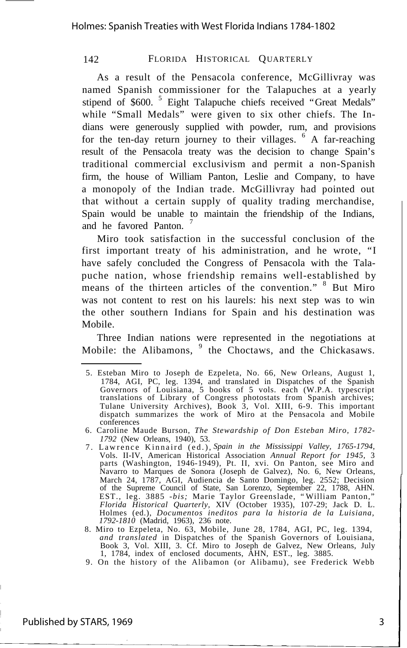As a result of the Pensacola conference, McGillivray was named Spanish commissioner for the Talapuches at a yearly stipend of \$600.<sup>5</sup> Eight Talapuche chiefs received "Great Medals" while "Small Medals" were given to six other chiefs. The Indians were generously supplied with powder, rum, and provisions for the ten-day return journey to their villages. <sup>6</sup> A far-reaching result of the Pensacola treaty was the decision to change Spain's traditional commercial exclusivism and permit a non-Spanish firm, the house of William Panton, Leslie and Company, to have a monopoly of the Indian trade. McGillivray had pointed out that without a certain supply of quality trading merchandise, Spain would be unable to maintain the friendship of the Indians, and he favored Panton.<sup>7</sup>

Miro took satisfaction in the successful conclusion of the first important treaty of his administration, and he wrote, "I have safely concluded the Congress of Pensacola with the Talapuche nation, whose friendship remains well-established by means of the thirteen articles of the convention." <sup>8</sup> But Miro was not content to rest on his laurels: his next step was to win the other southern Indians for Spain and his destination was Mobile.

Three Indian nations were represented in the negotiations at Mobile: the Alibamons, <sup>9</sup> the Choctaws, and the Chickasaws.

<sup>5.</sup> Esteban Miro to Joseph de Ezpeleta, No. 66, New Orleans, August 1, 1784, AGI, PC, leg. 1394, and translated in Dispatches of the Spanish Governors of Louisiana, 5 books of 5 vols. each (W.P.A. typescript translations of Library of Congress photostats from Spanish archives; Tulane University Archives), Book 3, Vol. XIII, 6-9. This important dispatch summarizes the work of Miro at the Pensacola and Mobile conferences

<sup>6.</sup> Caroline Maude Burson, *The Stewardship of Don Esteban Miro, 1782- 1792* (New Orleans, 1940), 53.

<sup>7.</sup> Lawrence Kinnaird (ed.), *Spain in the Mississippi Valley, 1765-1794,* Vols. II-IV, American Historical Association *Annual Report for 1945,* 3 parts (Washington, 1946-1949), Pt. II, xvi. On Panton, see Miro and Navarro to Marques de Sonora (Joseph de Galvez), No. 6, New Orleans, March 24, 1787, AGI, Audiencia de Santo Domingo, leg. 2552; Decision of the Supreme Council of State, San Lorenzo, September 22, 1788, AHN. EST., leg. 3885 *-bis;* Marie Taylor Greenslade, "William Panton," *Florida Historical Quarterly,* XIV (October 1935), 107-29; Jack D. L. Holmes (ed.), *Documentos ineditos para la historia de la Luisiana, 1792-1810* (Madrid, 1963), 236 note.

<sup>8.</sup> Miro to Ezpeleta, No. 63, Mobile, June 28, 1784, AGI, PC, leg. 1394, *and translated* in Dispatches of the Spanish Governors of Louisiana, Book 3, Vol. XIII, 3. Cf. Miro to Joseph de Galvez, New Orleans, July 1, 1784, index of enclosed documents, AHN, EST., leg. 3885.

<sup>9.</sup> On the history of the Alibamon (or Alibamu), see Frederick Webb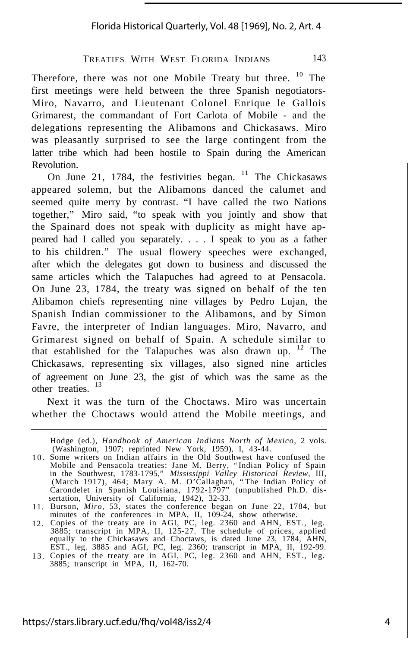# Florida Historical Quarterly, Vol. 48 [1969], No. 2, Art. 4

## TREATIES WITH WEST FLORIDA INDIANS 143

Therefore, there was not one Mobile Treaty but three. <sup>10</sup> The first meetings were held between the three Spanish negotiators-Miro, Navarro, and Lieutenant Colonel Enrique le Gallois Grimarest, the commandant of Fort Carlota of Mobile - and the delegations representing the Alibamons and Chickasaws. Miro was pleasantly surprised to see the large contingent from the latter tribe which had been hostile to Spain during the American Revolution.

On June 21, 1784, the festivities began.  $11$  The Chickasaws appeared solemn, but the Alibamons danced the calumet and seemed quite merry by contrast. "I have called the two Nations together," Miro said, "to speak with you jointly and show that the Spainard does not speak with duplicity as might have appeared had I called you separately. . . . I speak to you as a father to his children." The usual flowery speeches were exchanged, after which the delegates got down to business and discussed the same articles which the Talapuches had agreed to at Pensacola. On June 23, 1784, the treaty was signed on behalf of the ten Alibamon chiefs representing nine villages by Pedro Lujan, the Spanish Indian commissioner to the Alibamons, and by Simon Favre, the interpreter of Indian languages. Miro, Navarro, and Grimarest signed on behalf of Spain. A schedule similar to that established for the Talapuches was also drawn up.  $12$  The Chickasaws, representing six villages, also signed nine articles of agreement on June 23, the gist of which was the same as the other treaties.<sup>13</sup>

Next it was the turn of the Choctaws. Miro was uncertain whether the Choctaws would attend the Mobile meetings, and

Hodge (ed.), *Handbook of American Indians North of Mexico,* 2 vols. (Washington, 1907; reprinted New York, 1959), I, 43-44. Some writers on Indian affairs in the Old Southwest have confused the

<sup>1 0</sup> . Mobile and Pensacola treaties: Jane M. Berry, "Indian Policy of Spain in the Southwest, 1783-1795," *Mississippi Valley Historical Review,* III, (March 1917), 464; Mary A. M. O'Callaghan, "The Indian Policy of Carondelet in Spanish Louisiana, 1792-1797" (unpublished Ph.D. dissertation, University of California, 1942), 32-33. Burson, *Miro,* 53, states the conference began on June 22, 1784, but

<sup>11.</sup>

<sup>12.</sup> minutes of the conferences in MPA, II, 109-24, show otherwise.<br>Copies of the treaty are in AGI, PC, leg. 2360 and AHN, EST., leg.<br>3885; transcript in MPA, II, 125-27. The schedule of prices, applied<br>equally to the Chickasa EST., leg. 3885 and AGI, PC, leg. 2360; transcript in MPA, II, 192-99.

<sup>1 3</sup> . Copies of the treaty are in AGI, PC, leg. 2360 and AHN, EST., leg. 3885; transcript in MPA, II, 162-70.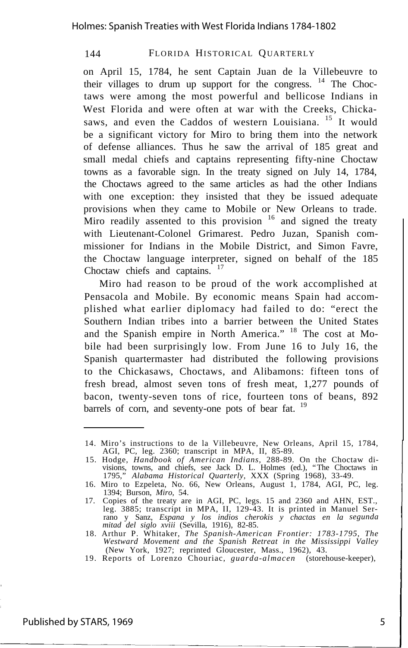on April 15, 1784, he sent Captain Juan de la Villebeuvre to their villages to drum up support for the congress. <sup>14</sup> The Choctaws were among the most powerful and bellicose Indians in West Florida and were often at war with the Creeks, Chickasaws, and even the Caddos of western Louisiana. <sup>15</sup> It would be a significant victory for Miro to bring them into the network of defense alliances. Thus he saw the arrival of 185 great and small medal chiefs and captains representing fifty-nine Choctaw towns as a favorable sign. In the treaty signed on July 14, 1784, the Choctaws agreed to the same articles as had the other Indians with one exception: they insisted that they be issued adequate provisions when they came to Mobile or New Orleans to trade. Miro readily assented to this provision  $16$  and signed the treaty with Lieutenant-Colonel Grimarest. Pedro Juzan, Spanish commissioner for Indians in the Mobile District, and Simon Favre, the Choctaw language interpreter, signed on behalf of the 185 Choctaw chiefs and captains. <sup>17</sup>

Miro had reason to be proud of the work accomplished at Pensacola and Mobile. By economic means Spain had accomplished what earlier diplomacy had failed to do: "erect the Southern Indian tribes into a barrier between the United States and the Spanish empire in North America." <sup>18</sup> The cost at Mobile had been surprisingly low. From June 16 to July 16, the Spanish quartermaster had distributed the following provisions to the Chickasaws, Choctaws, and Alibamons: fifteen tons of fresh bread, almost seven tons of fresh meat, 1,277 pounds of bacon, twenty-seven tons of rice, fourteen tons of beans, 892 barrels of corn, and seventy-one pots of bear fat. <sup>19</sup>

<sup>14.</sup> Miro's instructions to de la Villebeuvre, New Orleans, April 15, 1784, AGI, PC, leg. 2360; transcript in MPA, II, 85-89.

<sup>15.</sup> Hodge, *Handbook of American Indians,* 288-89. On the Choctaw divisions, towns, and chiefs, see Jack D. L. Holmes (ed.), "The Choctaws in 1795," *Alabama Historical Quarterly,* XXX (Spring 1968), 33-49.

<sup>16.</sup> Miro to Ezpeleta, No. 66, New Orleans, August 1, 1784, AGI, PC, leg.

<sup>1394;</sup> Burson, *Miro*, 54.<br>17. Copies of the treaty are in AGI, PC, legs. 15 and 2360 and AHN, EST.,<br>1885; transcript in MPA, II, 129-43. It is printed in Manuel Ser-<br>1880; transcript in MPA, II, 129-43. It is printed in Ma *mitad del siglo xviii* (Sevilla, 1916), 82-85.

<sup>18.</sup> Arthur P. Whitaker, *The Spanish-American Frontier: 1783-1795, The Westward Movement and the Spanish Retreat in the Mississippi Valley* (New York, 1927; reprinted Gloucester, Mass., 1962), 43.

<sup>19.</sup> Reports of Lorenzo Chouriac, *guarda-almacen* (storehouse-keeper),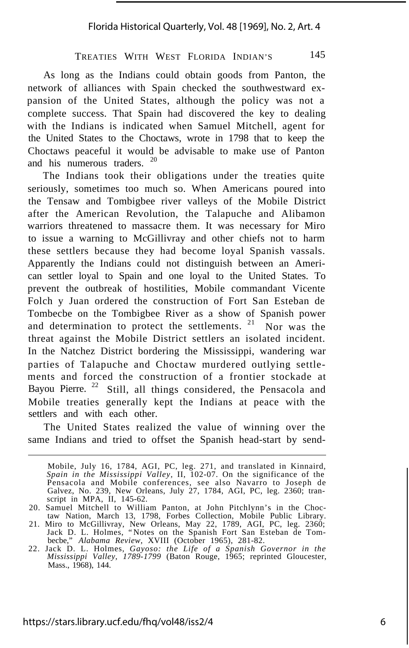As long as the Indians could obtain goods from Panton, the network of alliances with Spain checked the southwestward expansion of the United States, although the policy was not a complete success. That Spain had discovered the key to dealing with the Indians is indicated when Samuel Mitchell, agent for the United States to the Choctaws, wrote in 1798 that to keep the Choctaws peaceful it would be advisable to make use of Panton and his numerous traders.

The Indians took their obligations under the treaties quite seriously, sometimes too much so. When Americans poured into the Tensaw and Tombigbee river valleys of the Mobile District after the American Revolution, the Talapuche and Alibamon warriors threatened to massacre them. It was necessary for Miro to issue a warning to McGillivray and other chiefs not to harm these settlers because they had become loyal Spanish vassals. Apparently the Indians could not distinguish between an American settler loyal to Spain and one loyal to the United States. To prevent the outbreak of hostilities, Mobile commandant Vicente Folch y Juan ordered the construction of Fort San Esteban de Tombecbe on the Tombigbee River as a show of Spanish power and determination to protect the settlements. <sup>21</sup> Nor was the threat against the Mobile District settlers an isolated incident. In the Natchez District bordering the Mississippi, wandering war parties of Talapuche and Choctaw murdered outlying settlements and forced the construction of a frontier stockade at Bayou Pierre.<sup>22</sup> Still, all things considered, the Pensacola and Mobile treaties generally kept the Indians at peace with the settlers and with each other.

The United States realized the value of winning over the same Indians and tried to offset the Spanish head-start by send-

Mobile, July 16, 1784, AGI, PC, leg. 271, and translated in Kinnaird, *Spain in the Mississippi Valley,* II, 102-07. On the significance of the Pensacola and Mobile conferences, see also Navarro to Joseph de Galvez, No. 239, New Orleans, July 27, 1784, AGI, PC, leg. 2360; transcript in MPA, II, 145-62.

<sup>20.</sup> Samuel Mitchell to William Panton, at John Pitchlynn's in the Choctaw Nation, March 13, 1798, Forbes Collection, Mobile Public Library.

<sup>21.</sup> Miro to McGillivray, New Orleans, May 22, 1789, AGI, PC, leg. 2360; Jack D. L. Holmes, "Notes on the Spanish Fort San Esteban de Tombecbe," *Alabama Review,* XVIII (October 1965), 281-82.

<sup>22.</sup> Jack D. L. Holmes, *Gayoso: the Life of a Spanish Governor in the Mississippi Valley, 1789-1799* (Baton Rouge, 1965; reprinted Gloucester, Mass., 1968), 144.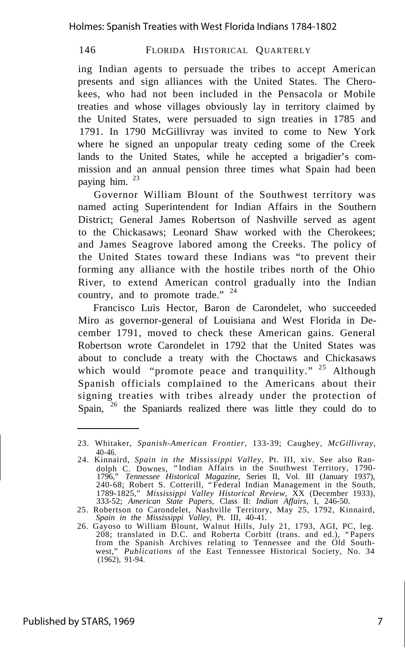ing Indian agents to persuade the tribes to accept American presents and sign alliances with the United States. The Cherokees, who had not been included in the Pensacola or Mobile treaties and whose villages obviously lay in territory claimed by the United States, were persuaded to sign treaties in 1785 and 1791. In 1790 McGillivray was invited to come to New York where he signed an unpopular treaty ceding some of the Creek lands to the United States, while he accepted a brigadier's commission and an annual pension three times what Spain had been paying him. <sup>23</sup>

Governor William Blount of the Southwest territory was named acting Superintendent for Indian Affairs in the Southern District; General James Robertson of Nashville served as agent to the Chickasaws; Leonard Shaw worked with the Cherokees; and James Seagrove labored among the Creeks. The policy of the United States toward these Indians was "to prevent their forming any alliance with the hostile tribes north of the Ohio River, to extend American control gradually into the Indian country, and to promote trade." <sup>24</sup>

Francisco Luis Hector, Baron de Carondelet, who succeeded Miro as governor-general of Louisiana and West Florida in December 1791, moved to check these American gains. General Robertson wrote Carondelet in 1792 that the United States was about to conclude a treaty with the Choctaws and Chickasaws which would "promote peace and tranquility."  $25$  Although Spanish officials complained to the Americans about their signing treaties with tribes already under the protection of Spain, <sup>26</sup> the Spaniards realized there was little they could do to

<sup>23.</sup> Whitaker, *Spanish-American Frontier,* 133-39; Caughey, *McGillivray,* 40-46.

<sup>24.</sup> Kinnaird, *Spain in the Mississippi Valley,* Pt. III, xiv. See also Randolph C. Downes, "Indian Affairs in the Southwest Territory, 1790- 1796," *Tennessee Historical Magazine,* Series II, Vol. III (January 1937), 240-68; Robert S. Cotterill, "Federal Indian Management in the South, 1789-1825," *Mississippi Valley Historical Review,* XX (December 1933), 333-52; *American State Papers,* Class II: *Indian Affairs,* I, 246-50.

<sup>25.</sup> Robertson to Carondelet, Nashville Territory, May 25, 1792, Kinnaird, *Spain in the Mississippi Valley,* Pt. III, 40-41.

<sup>26.</sup> Gayoso to William Blount, Walnut Hills, July 21, 1793, AGI, PC, leg. 208; translated in D.C. and Roberta Corbitt (trans. and ed.), "Papers from the Spanish Archives relating to Tennessee and the Old Southwest," *Publications* of the East Tennessee Historical Society, No. 34 (1962), 91-94.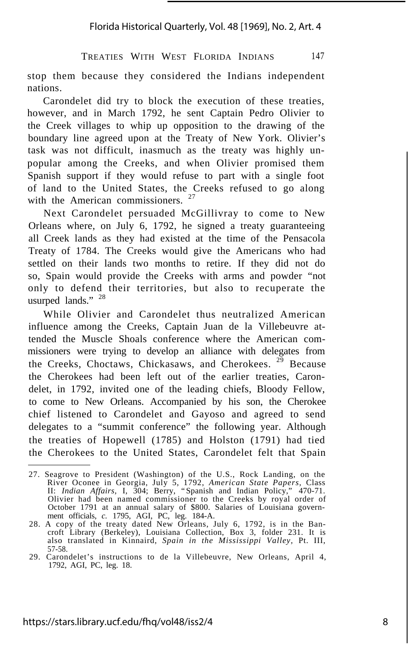stop them because they considered the Indians independent nations.

Carondelet did try to block the execution of these treaties, however, and in March 1792, he sent Captain Pedro Olivier to the Creek villages to whip up opposition to the drawing of the boundary line agreed upon at the Treaty of New York. Olivier's task was not difficult, inasmuch as the treaty was highly unpopular among the Creeks, and when Olivier promised them Spanish support if they would refuse to part with a single foot of land to the United States, the Creeks refused to go along with the American commissioners.<sup>27</sup>

Next Carondelet persuaded McGillivray to come to New Orleans where, on July 6, 1792, he signed a treaty guaranteeing all Creek lands as they had existed at the time of the Pensacola Treaty of 1784. The Creeks would give the Americans who had settled on their lands two months to retire. If they did not do so, Spain would provide the Creeks with arms and powder "not only to defend their territories, but also to recuperate the usurped lands." <sup>28</sup>

While Olivier and Carondelet thus neutralized American influence among the Creeks, Captain Juan de la Villebeuvre attended the Muscle Shoals conference where the American commissioners were trying to develop an alliance with delegates from the Creeks, Choctaws, Chickasaws, and Cherokees.  $2^{\overline{9}}$  Because the Cherokees had been left out of the earlier treaties, Carondelet, in 1792, invited one of the leading chiefs, Bloody Fellow, to come to New Orleans. Accompanied by his son, the Cherokee chief listened to Carondelet and Gayoso and agreed to send delegates to a "summit conference" the following year. Although the treaties of Hopewell (1785) and Holston (1791) had tied the Cherokees to the United States, Carondelet felt that Spain

<sup>27.</sup> Seagrove to President (Washington) of the U.S., Rock Landing, on the River Oconee in Georgia, July 5, 1792, *American State Papers,* Class II: *Indian Affairs,* I, 304; Berry, "Spanish and Indian Policy," 470-71. Olivier had been named commissioner to the Creeks by royal order of October 1791 at an annual salary of \$800. Salaries of Louisiana government officials, *c.* 1795, AGI, PC, leg. 184-A.<br>28. A copy of the treaty dated New Orleans, July 6, 1792, is in the Ban-

croft Library (Berkeley), Louisiana Collection, Box 3, folder 231. It is also translated in Kinnaird, *Spain in the Mississippi Valley,* Pt. III, 57-58.

<sup>29.</sup> Carondelet's instructions to de la Villebeuvre, New Orleans, April 4, 1792, AGI, PC, leg. 18.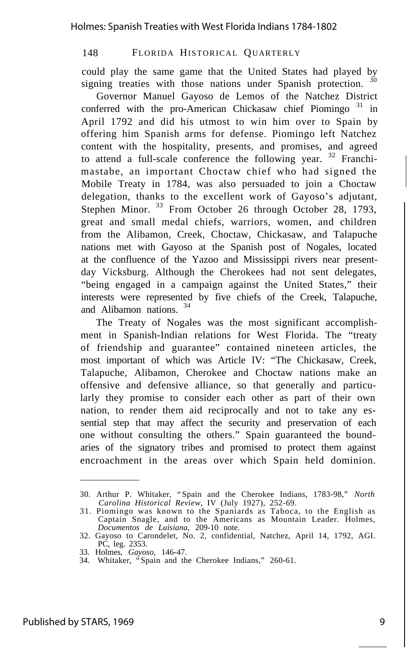could play the same game that the United States had played by signing treaties with those nations under Spanish protection.<sup>30</sup>

Governor Manuel Gayoso de Lemos of the Natchez District conferred with the pro-American Chickasaw chief Piomingo<sup>31</sup> in April 1792 and did his utmost to win him over to Spain by offering him Spanish arms for defense. Piomingo left Natchez content with the hospitality, presents, and promises, and agreed to attend a full-scale conference the following year. <sup>32</sup> Franchimastabe, an important Choctaw chief who had signed the Mobile Treaty in 1784, was also persuaded to join a Choctaw delegation, thanks to the excellent work of Gayoso's adjutant, Stephen Minor. <sup>33</sup> From October 26 through October 28, 1793, great and small medal chiefs, warriors, women, and children from the Alibamon, Creek, Choctaw, Chickasaw, and Talapuche nations met with Gayoso at the Spanish post of Nogales, located at the confluence of the Yazoo and Mississippi rivers near presentday Vicksburg. Although the Cherokees had not sent delegates, "being engaged in a campaign against the United States," their interests were represented by five chiefs of the Creek, Talapuche, and Alibamon nations. <sup>34</sup>

The Treaty of Nogales was the most significant accomplishment in Spanish-Indian relations for West Florida. The "treaty of friendship and guarantee" contained nineteen articles, the most important of which was Article IV: "The Chickasaw, Creek, Talapuche, Alibamon, Cherokee and Choctaw nations make an offensive and defensive alliance, so that generally and particularly they promise to consider each other as part of their own nation, to render them aid reciprocally and not to take any essential step that may affect the security and preservation of each one without consulting the others." Spain guaranteed the boundaries of the signatory tribes and promised to protect them against encroachment in the areas over which Spain held dominion.

<sup>30.</sup> Arthur P. Whitaker, "Spain and the Cherokee Indians, 1783-98," *North Carolina Historical Review,* IV (July 1927), 252-69.

<sup>31.</sup> Piomingo was known to the Spaniards as Taboca, to the English as Captain Snagle, and to the Americans as Mountain Leader. Holmes, *Documentos de Luisiana,* 209-10 note.

<sup>32.</sup> Gayoso to Carondelet, No. 2, confidential, Natchez, April 14, 1792, AGI. PC, leg. 2353. 33. Holmes, *Gayoso,* 146-47.

<sup>34.</sup> Whitaker, "Spain and the Cherokee Indians," 260-61.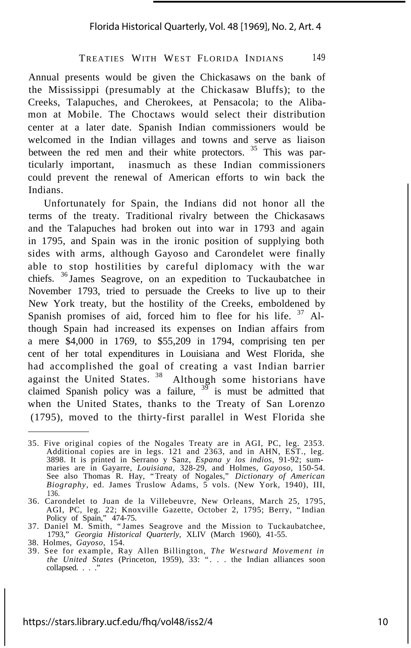## Florida Historical Quarterly, Vol. 48 [1969], No. 2, Art. 4

# TREATIES WITH WEST FLORIDA INDIANS 149

Annual presents would be given the Chickasaws on the bank of the Mississippi (presumably at the Chickasaw Bluffs); to the Creeks, Talapuches, and Cherokees, at Pensacola; to the Alibamon at Mobile. The Choctaws would select their distribution center at a later date. Spanish Indian commissioners would be welcomed in the Indian villages and towns and serve as liaison between the red men and their white protectors. <sup>35</sup> This was particularly important, inasmuch as these Indian commissioners could prevent the renewal of American efforts to win back the Indians.

Unfortunately for Spain, the Indians did not honor all the terms of the treaty. Traditional rivalry between the Chickasaws and the Talapuches had broken out into war in 1793 and again in 1795, and Spain was in the ironic position of supplying both sides with arms, although Gayoso and Carondelet were finally able to stop hostilities by careful diplomacy with the war chiefs. <sup>36</sup> James Seagrove, on an expedition to Tuckaubatchee in November 1793, tried to persuade the Creeks to live up to their New York treaty, but the hostility of the Creeks, emboldened by Spanish promises of aid, forced him to flee for his life. <sup>37</sup> Although Spain had increased its expenses on Indian affairs from a mere \$4,000 in 1769, to \$55,209 in 1794, comprising ten per cent of her total expenditures in Louisiana and West Florida, she had accomplished the goal of creating a vast Indian barrier against the United States.<sup>38</sup> Although some historians have claimed Spanish policy was a failure,  $3^{9}$  is must be admitted that when the United States, thanks to the Treaty of San Lorenzo (1795), moved to the thirty-first parallel in West Florida she

<sup>35.</sup> Five original copies of the Nogales Treaty are in AGI, PC, leg. 2353. Additional copies are in legs. 121 and 2363, and in AHN, EST., leg. 3898. It is printed in Serrano y Sanz, *Espana y los indios,* 91-92; sum-maries are in Gayarre, *Louisiana,* 328-29, and Holmes, *Gayoso,* 150-54. See also Thomas R. Hay, "Treaty of Nogales," *Dictionary of American Biography,* ed. James Truslow Adams, 5 vols. (New York, 1940), III, 136.

<sup>36.</sup> Carondelet to Juan de la Villebeuvre, New Orleans, March 25, 1795, AGI, PC, leg. 22; Knoxville Gazette, October 2, 1795; Berry, "Indian Policy of Spain," 474-75.

<sup>37.</sup> Daniel M. Smith, "James Seagrove and the Mission to Tuckaubatchee, 1793," *Georgia Historical Quarterly,* XLIV (March 1960), 41-55. 38. Holmes, *Gayoso,* 154.

<sup>39.</sup> See for example, Ray Allen Billington, *The Westward Movement in the United States* (Princeton, 1959), 33: ". . . the Indian alliances soon collapsed. . . . '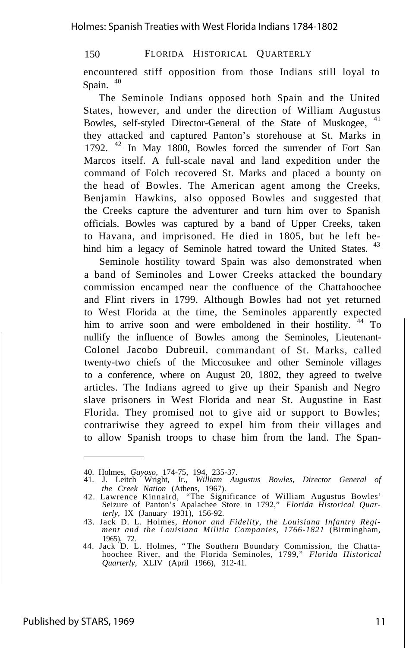encountered stiff opposition from those Indians still loyal to Spain.  $40$ 

The Seminole Indians opposed both Spain and the United States, however, and under the direction of William Augustus Bowles, self-styled Director-General of the State of Muskogee, <sup>41</sup> they attacked and captured Panton's storehouse at St. Marks in 1792. <sup>42</sup> In May 1800, Bowles forced the surrender of Fort San Marcos itself. A full-scale naval and land expedition under the command of Folch recovered St. Marks and placed a bounty on the head of Bowles. The American agent among the Creeks, Benjamin Hawkins, also opposed Bowles and suggested that the Creeks capture the adventurer and turn him over to Spanish officials. Bowles was captured by a band of Upper Creeks, taken to Havana, and imprisoned. He died in 1805, but he left behind him a legacy of Seminole hatred toward the United States. <sup>43</sup>

Seminole hostility toward Spain was also demonstrated when a band of Seminoles and Lower Creeks attacked the boundary commission encamped near the confluence of the Chattahoochee and Flint rivers in 1799. Although Bowles had not yet returned to West Florida at the time, the Seminoles apparently expected him to arrive soon and were emboldened in their hostility. <sup>44</sup> To nullify the influence of Bowles among the Seminoles, Lieutenant-Colonel Jacobo Dubreuil, commandant of St. Marks, called twenty-two chiefs of the Miccosukee and other Seminole villages to a conference, where on August 20, 1802, they agreed to twelve articles. The Indians agreed to give up their Spanish and Negro slave prisoners in West Florida and near St. Augustine in East Florida. They promised not to give aid or support to Bowles; contrariwise they agreed to expel him from their villages and to allow Spanish troops to chase him from the land. The Span-

<sup>40.</sup> Holmes, *Gayoso,* 174-75, 194, 235-37.

<sup>41.</sup> J. Leitch Wright, Jr., *William Augustus Bowles, Director General of*

*the Creek Nation* (Athens, 1967). 42. Lawrence Kinnaird, "The Significance of William Augustus Bowles' Seizure of Panton's Apalachee Store in 1792," *Florida Historical Quarterly,* IX (January 1931), 156-92.

<sup>43.</sup> Jack D. L. Holmes, *Honor and Fidelity, the Louisiana Infantry Regi-ment and the Louisiana Militia Companies, 1766-1821* (Birmingham, 1965), 72.

<sup>44.</sup> Jack D. L. Holmes, "The Southern Boundary Commission, the Chattahoochee River, and the Florida Seminoles, 1799," *Florida Historical Quarterly,* XLIV (April 1966), 312-41.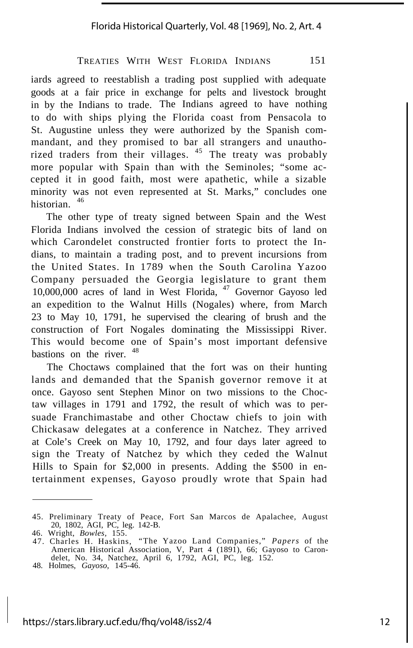iards agreed to reestablish a trading post supplied with adequate goods at a fair price in exchange for pelts and livestock brought in by the Indians to trade. The Indians agreed to have nothing to do with ships plying the Florida coast from Pensacola to St. Augustine unless they were authorized by the Spanish commandant, and they promised to bar all strangers and unauthorized traders from their villages. <sup>45</sup> The treaty was probably more popular with Spain than with the Seminoles; "some accepted it in good faith, most were apathetic, while a sizable minority was not even represented at St. Marks," concludes one historian. <sup>46</sup>

The other type of treaty signed between Spain and the West Florida Indians involved the cession of strategic bits of land on which Carondelet constructed frontier forts to protect the Indians, to maintain a trading post, and to prevent incursions from the United States. In 1789 when the South Carolina Yazoo Company persuaded the Georgia legislature to grant them 10,000,000 acres of land in West Florida, <sup>47</sup> Governor Gayoso led an expedition to the Walnut Hills (Nogales) where, from March 23 to May 10, 1791, he supervised the clearing of brush and the construction of Fort Nogales dominating the Mississippi River. This would become one of Spain's most important defensive bastions on the river.  $48$ 

The Choctaws complained that the fort was on their hunting lands and demanded that the Spanish governor remove it at once. Gayoso sent Stephen Minor on two missions to the Choctaw villages in 1791 and 1792, the result of which was to persuade Franchimastabe and other Choctaw chiefs to join with Chickasaw delegates at a conference in Natchez. They arrived at Cole's Creek on May 10, 1792, and four days later agreed to sign the Treaty of Natchez by which they ceded the Walnut Hills to Spain for \$2,000 in presents. Adding the \$500 in entertainment expenses, Gayoso proudly wrote that Spain had

<sup>45.</sup> Preliminary Treaty of Peace, Fort San Marcos de Apalachee, August 20, 1802, AGI, PC, leg. 142-B.

<sup>46.</sup> Wright, *Bowles,* 155.

<sup>47.</sup> Charles H. Haskins, "The Yazoo Land Companies," *Papers* of the American Historical Association, V, Part 4 (1891), 66; Gayoso to Carondelet, No. 34, Natchez, April 6, 1792, AGI, PC, leg. 152.

<sup>48.</sup> Holmes, *Gayoso,* 145-46.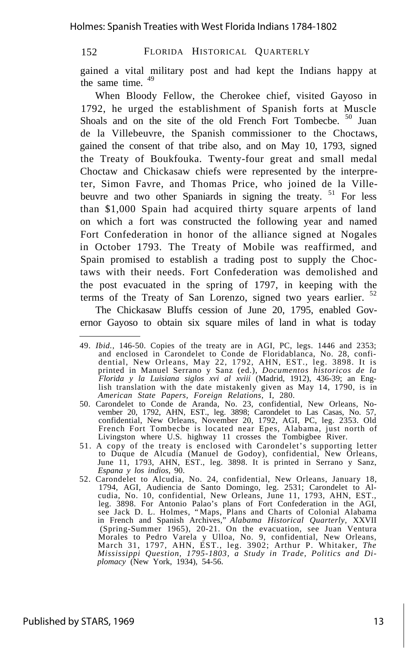gained a vital military post and had kept the Indians happy at the same time.  $49$ 

When Bloody Fellow, the Cherokee chief, visited Gayoso in 1792, he urged the establishment of Spanish forts at Muscle Shoals and on the site of the old French Fort Tombecbe. <sup>50</sup> Juan de la Villebeuvre, the Spanish commissioner to the Choctaws, gained the consent of that tribe also, and on May 10, 1793, signed the Treaty of Boukfouka. Twenty-four great and small medal Choctaw and Chickasaw chiefs were represented by the interpreter, Simon Favre, and Thomas Price, who joined de la Villebeuvre and two other Spaniards in signing the treaty.  $51$  For less than \$1,000 Spain had acquired thirty square arpents of land on which a fort was constructed the following year and named Fort Confederation in honor of the alliance signed at Nogales in October 1793. The Treaty of Mobile was reaffirmed, and Spain promised to establish a trading post to supply the Choctaws with their needs. Fort Confederation was demolished and the post evacuated in the spring of 1797, in keeping with the terms of the Treaty of San Lorenzo, signed two years earlier.  $52$ 

The Chickasaw Bluffs cession of June 20, 1795, enabled Governor Gayoso to obtain six square miles of land in what is today

<sup>49.</sup> *Ibid.,* 146-50. Copies of the treaty are in AGI, PC, legs. 1446 and 2353; and enclosed in Carondelet to Conde de Floridablanca, No. 28, confidential, New Orleans, May 22, 1792, AHN, EST., leg. 3898. It is<br>printed in Manuel Serrano y Sanz (ed.), *Documentos historicos de la*<br>*Florida y la Luisian* lish translation with the date mistakenly given as May 14, 1790, is in *American State Papers, Foreign Relations,* I, 280.

<sup>50.</sup> Carondelet to Conde de Aranda, No. 23, confidential, New Orleans, No-vember 20, 1792, AHN, EST., leg. 3898; Carondelet to Las Casas, No. 57, confidential, New Orleans, November 20, 1792, AGI, PC, leg. 2353. Old French Fort Tombecbe is located near Epes, Alabama, just north of Livingston where U.S. highway 11 crosses the Tombigbee River.

<sup>51.</sup> A copy of the treaty is enclosed with Carondelet's supporting letter to Duque de Alcudia (Manuel de Godoy), confidential, New Orleans, June 11, 1793, AHN, EST., leg. 3898. It is printed in Serrano y Sanz, *Espana y los indios,* 90.

<sup>52.</sup> Carondelet to Alcudia, No. 24, confidential, New Orleans, January 18, 1794, AGI, Audiencia de Santo Domingo, leg. 2531; Carondelet to Al-cudia, No. 10, confidential, New Orleans, June 11, 1793, AHN, EST., leg. 3898. For Antonio Palao's plans of Fort Confederation in the AGI, see Jack D. L. Holmes, "Maps, Plans and Charts of Colonial Alabama in French and Spanish Archives," *Alabama Historical Quarterly,* XXVII (Spring-Summer 1965), 20-21. On the evacuation, see Juan Ventura Morales to Pedro Varela y Ulloa, No. 9, confidential, New Orleans, March 31, 1797, AHN, EST., leg. 3902; Arthur P. Whitaker, *The Mississippi Question, 1795-1803, a Study in Trade, Politics and Diplomacy* (New York, 1934), 54-56.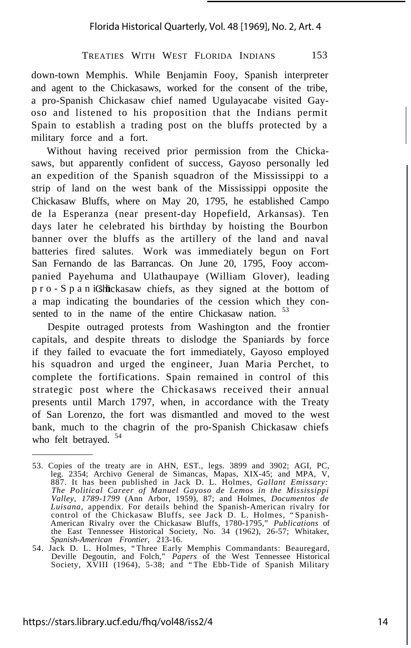down-town Memphis. While Benjamin Fooy, Spanish interpreter and agent to the Chickasaws, worked for the consent of the tribe, a pro-Spanish Chickasaw chief named Ugulayacabe visited Gayoso and listened to his proposition that the Indians permit Spain to establish a trading post on the bluffs protected by a military force and a fort.

Without having received prior permission from the Chickasaws, but apparently confident of success, Gayoso personally led an expedition of the Spanish squadron of the Mississippi to a strip of land on the west bank of the Mississippi opposite the Chickasaw Bluffs, where on May 20, 1795, he established Campo de la Esperanza (near present-day Hopefield, Arkansas). Ten days later he celebrated his birthday by hoisting the Bourbon banner over the bluffs as the artillery of the land and naval batteries fired salutes. Work was immediately begun on Fort San Fernando de las Barrancas. On June 20, 1795, Fooy accompanied Payehuma and Ulathaupaye (William Glover), leading pro-SpaniGhickasaw chiefs, as they signed at the bottom of a map indicating the boundaries of the cession which they consented to in the name of the entire Chickasaw nation. <sup>53</sup>

Despite outraged protests from Washington and the frontier capitals, and despite threats to dislodge the Spaniards by force if they failed to evacuate the fort immediately, Gayoso employed his squadron and urged the engineer, Juan Maria Perchet, to complete the fortifications. Spain remained in control of this strategic post where the Chickasaws received their annual presents until March 1797, when, in accordance with the Treaty of San Lorenzo, the fort was dismantled and moved to the west bank, much to the chagrin of the pro-Spanish Chickasaw chiefs who felt betrayed.  $54$ 

<sup>53.</sup> Copies of the treaty are in AHN, EST., legs. 3899 and 3902; AGI, PC, leg. 2354; Archivo General de Simancas, Mapas, XIX-45; and MPA, V, 887. It has been published in Jack D. L. Holmes, *Gallant Emissary: The Political Career of Manuel Gayoso de Lemos in the Mississippi Valley, 1789-1799* (Ann Arbor, 1959), 87; and Holmes, *Documentos de Luisana,* appendix. For details behind the Spanish-American rivalry for control of the Chickasaw Bluffs, see Jack D. L. Holmes, "Spanish-American Rivalry over the Chickasaw Bluffs, 1780-1795," *Publications* of the East Tennessee Historical Society, No. 34 (1962), 26-57; Whitaker, *Spanish-American Frontier,* 213-16.

<sup>54.</sup> Jack D. L. Holmes, "Three Early Memphis Commandants: Beauregard, Deville Degoutin, and Folch," *Papers* of the West Tennessee Historical Society, XVIII (1964), 5-38; and "The Ebb-Tide of Spanish Military